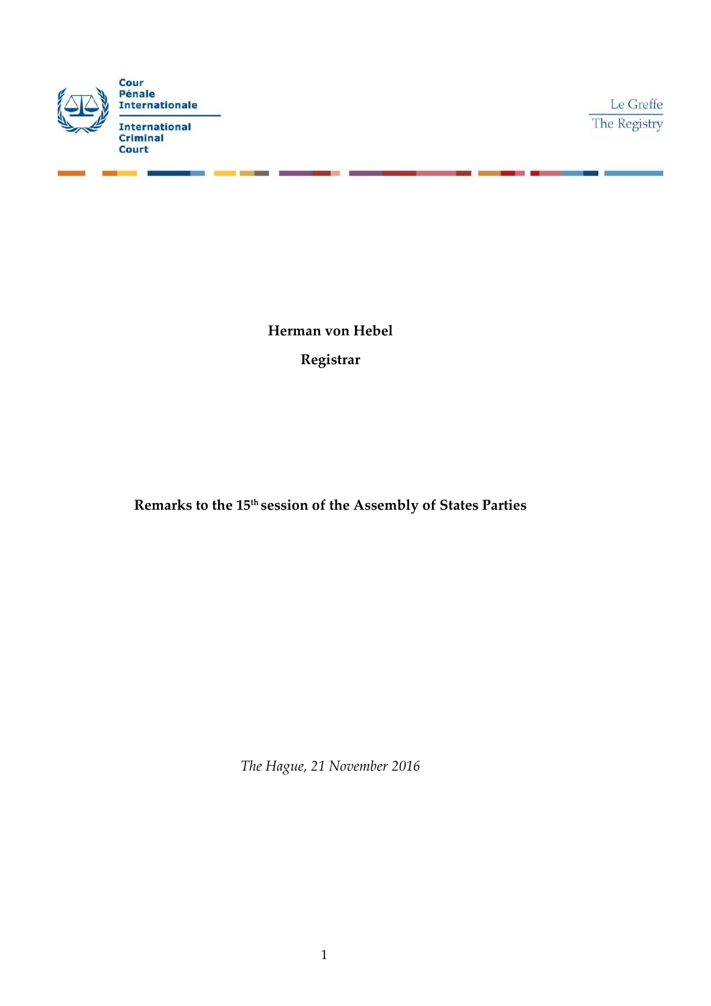

Le Greffe The Registry

**Herman von Hebel Registrar**

**Remarks to the 15th session of the Assembly of States Parties**

*The Hague, 21 November 2016*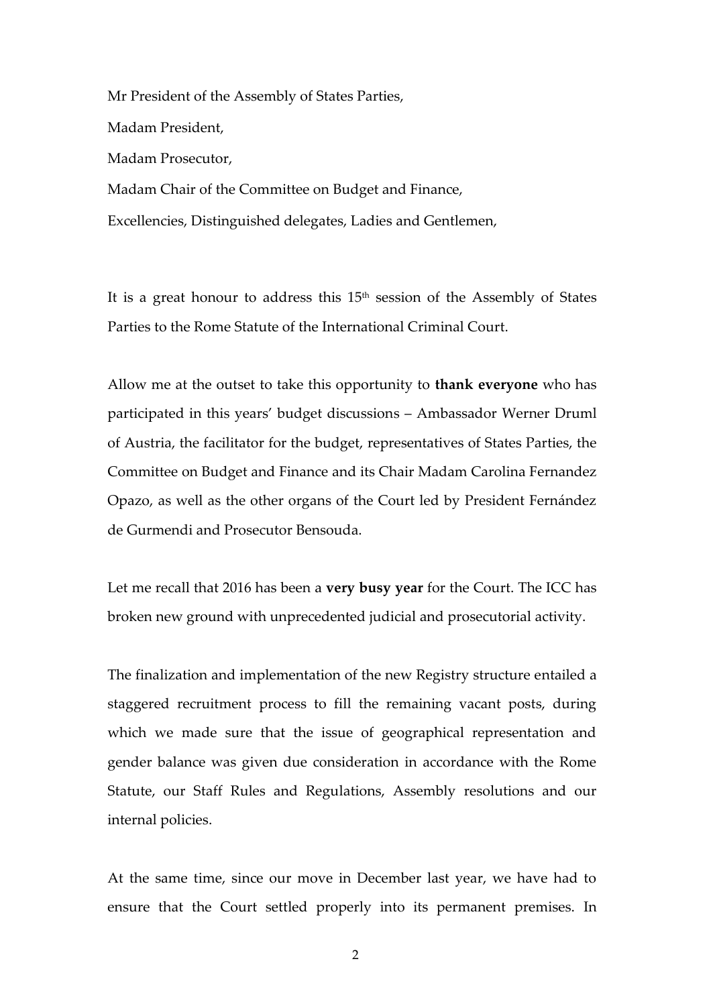Mr President of the Assembly of States Parties, Madam President, Madam Prosecutor, Madam Chair of the Committee on Budget and Finance, Excellencies, Distinguished delegates, Ladies and Gentlemen,

It is a great honour to address this 15<sup>th</sup> session of the Assembly of States Parties to the Rome Statute of the International Criminal Court.

Allow me at the outset to take this opportunity to **thank everyone** who has participated in this years' budget discussions – Ambassador Werner Druml of Austria, the facilitator for the budget, representatives of States Parties, the Committee on Budget and Finance and its Chair Madam Carolina Fernandez Opazo, as well as the other organs of the Court led by President Fernández de Gurmendi and Prosecutor Bensouda.

Let me recall that 2016 has been a **very busy year** for the Court. The ICC has broken new ground with unprecedented judicial and prosecutorial activity.

The finalization and implementation of the new Registry structure entailed a staggered recruitment process to fill the remaining vacant posts, during which we made sure that the issue of geographical representation and gender balance was given due consideration in accordance with the Rome Statute, our Staff Rules and Regulations, Assembly resolutions and our internal policies.

At the same time, since our move in December last year, we have had to ensure that the Court settled properly into its permanent premises. In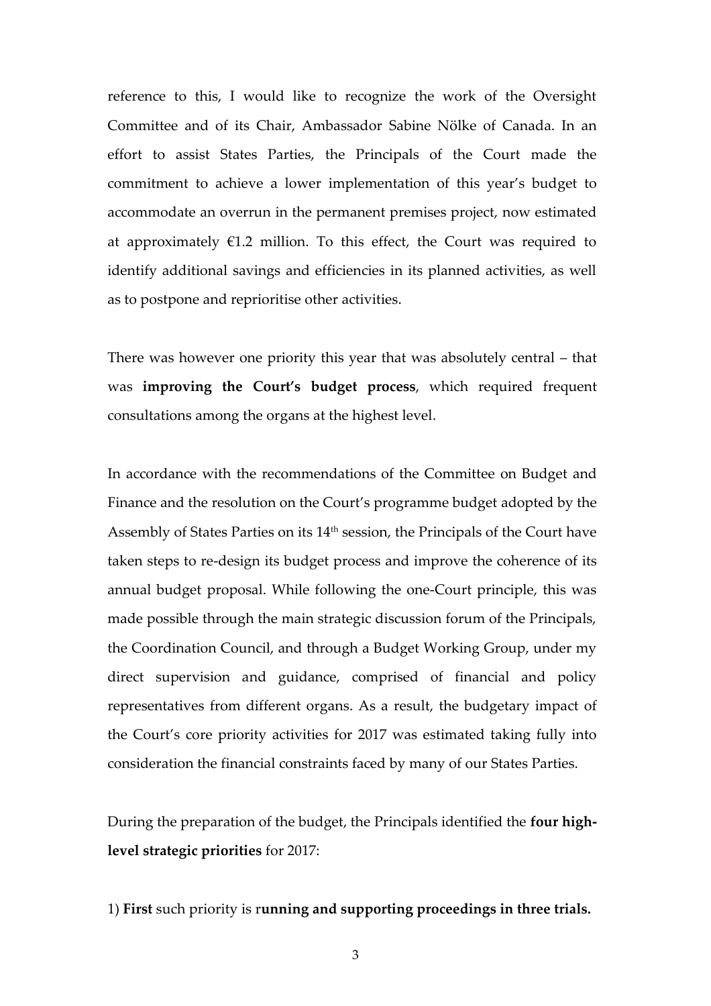reference to this, I would like to recognize the work of the Oversight Committee and of its Chair, Ambassador Sabine Nölke of Canada. In an effort to assist States Parties, the Principals of the Court made the commitment to achieve a lower implementation of this year's budget to accommodate an overrun in the permanent premises project, now estimated at approximately  $\epsilon$ 1.2 million. To this effect, the Court was required to identify additional savings and efficiencies in its planned activities, as well as to postpone and reprioritise other activities.

There was however one priority this year that was absolutely central – that was **improving the Court's budget process**, which required frequent consultations among the organs at the highest level.

In accordance with the recommendations of the Committee on Budget and Finance and the resolution on the Court's programme budget adopted by the Assembly of States Parties on its 14<sup>th</sup> session, the Principals of the Court have taken steps to re-design its budget process and improve the coherence of its annual budget proposal. While following the one-Court principle, this was made possible through the main strategic discussion forum of the Principals, the Coordination Council, and through a Budget Working Group, under my direct supervision and guidance, comprised of financial and policy representatives from different organs. As a result, the budgetary impact of the Court's core priority activities for 2017 was estimated taking fully into consideration the financial constraints faced by many of our States Parties.

During the preparation of the budget, the Principals identified the **four highlevel strategic priorities** for 2017:

### 1) **First** such priority is r**unning and supporting proceedings in three trials.**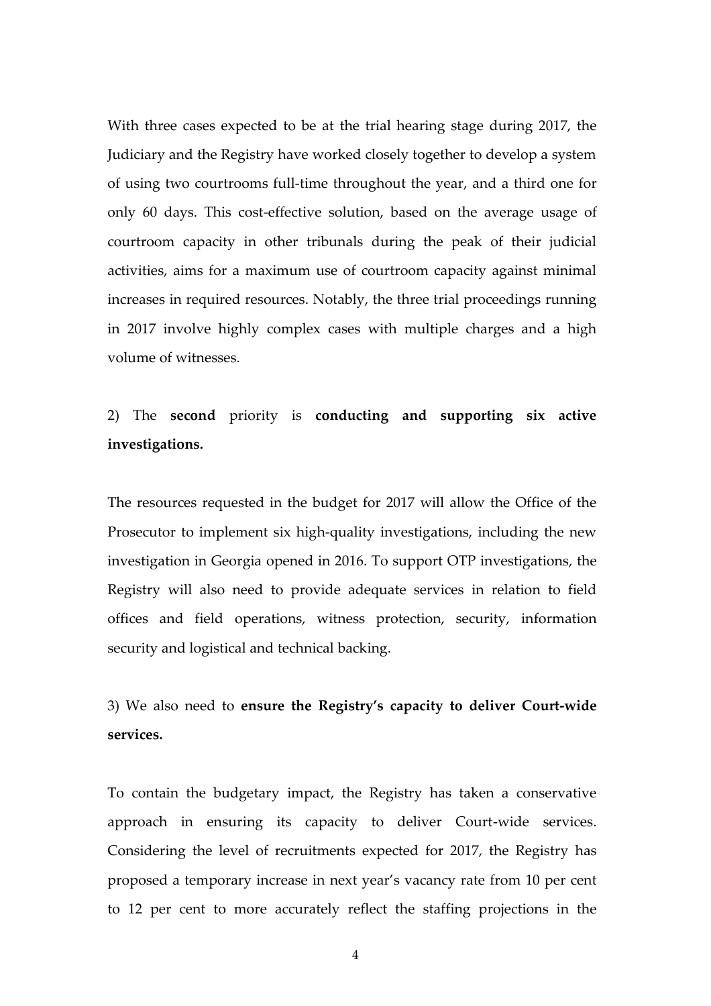With three cases expected to be at the trial hearing stage during 2017, the Judiciary and the Registry have worked closely together to develop a system of using two courtrooms full-time throughout the year, and a third one for only 60 days. This cost-effective solution, based on the average usage of courtroom capacity in other tribunals during the peak of their judicial activities, aims for a maximum use of courtroom capacity against minimal increases in required resources. Notably, the three trial proceedings running in 2017 involve highly complex cases with multiple charges and a high volume of witnesses.

# 2) The **second** priority is **conducting and supporting six active investigations.**

The resources requested in the budget for 2017 will allow the Office of the Prosecutor to implement six high-quality investigations, including the new investigation in Georgia opened in 2016. To support OTP investigations, the Registry will also need to provide adequate services in relation to field offices and field operations, witness protection, security, information security and logistical and technical backing.

# 3) We also need to **ensure the Registry's capacity to deliver Court-wide services.**

To contain the budgetary impact, the Registry has taken a conservative approach in ensuring its capacity to deliver Court-wide services. Considering the level of recruitments expected for 2017, the Registry has proposed a temporary increase in next year's vacancy rate from 10 per cent to 12 per cent to more accurately reflect the staffing projections in the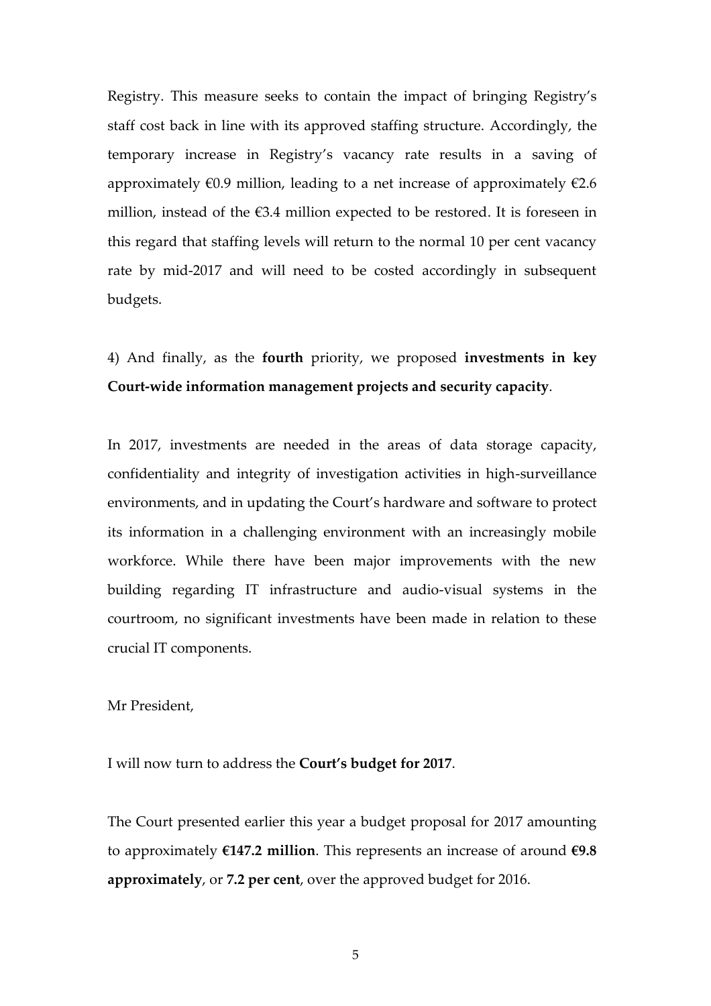Registry. This measure seeks to contain the impact of bringing Registry's staff cost back in line with its approved staffing structure. Accordingly, the temporary increase in Registry's vacancy rate results in a saving of approximately  $\epsilon$ 0.9 million, leading to a net increase of approximately  $\epsilon$ 2.6 million, instead of the  $\epsilon$ 3.4 million expected to be restored. It is foreseen in this regard that staffing levels will return to the normal 10 per cent vacancy rate by mid-2017 and will need to be costed accordingly in subsequent budgets.

4) And finally, as the **fourth** priority, we proposed **investments in key Court-wide information management projects and security capacity**.

In 2017, investments are needed in the areas of data storage capacity, confidentiality and integrity of investigation activities in high-surveillance environments, and in updating the Court's hardware and software to protect its information in a challenging environment with an increasingly mobile workforce. While there have been major improvements with the new building regarding IT infrastructure and audio-visual systems in the courtroom, no significant investments have been made in relation to these crucial IT components.

Mr President,

I will now turn to address the **Court's budget for 2017**.

The Court presented earlier this year a budget proposal for 2017 amounting to approximately **€147.2 million**. This represents an increase of around **€9.8 approximately**, or **7.2 per cent**, over the approved budget for 2016.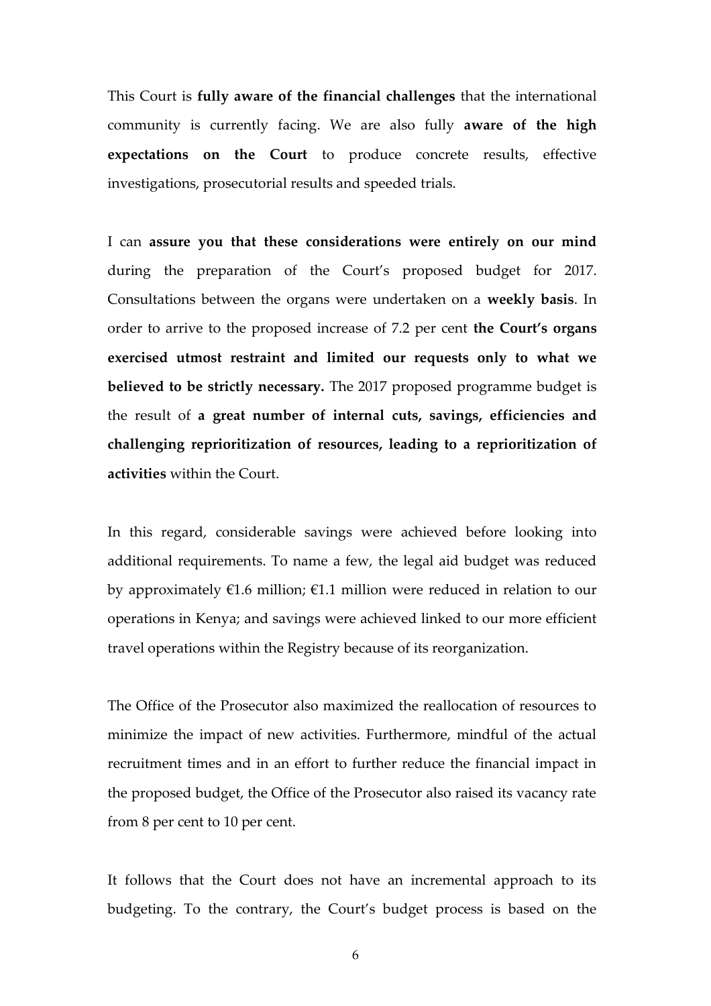This Court is **fully aware of the financial challenges** that the international community is currently facing. We are also fully **aware of the high expectations on the Court** to produce concrete results, effective investigations, prosecutorial results and speeded trials.

I can **assure you that these considerations were entirely on our mind** during the preparation of the Court's proposed budget for 2017. Consultations between the organs were undertaken on a **weekly basis**. In order to arrive to the proposed increase of 7.2 per cent **the Court's organs exercised utmost restraint and limited our requests only to what we believed to be strictly necessary.** The 2017 proposed programme budget is the result of **a great number of internal cuts, savings, efficiencies and challenging reprioritization of resources, leading to a reprioritization of activities** within the Court.

In this regard, considerable savings were achieved before looking into additional requirements. To name a few, the legal aid budget was reduced by approximately  $\epsilon$ 1.6 million;  $\epsilon$ 1.1 million were reduced in relation to our operations in Kenya; and savings were achieved linked to our more efficient travel operations within the Registry because of its reorganization.

The Office of the Prosecutor also maximized the reallocation of resources to minimize the impact of new activities. Furthermore, mindful of the actual recruitment times and in an effort to further reduce the financial impact in the proposed budget, the Office of the Prosecutor also raised its vacancy rate from 8 per cent to 10 per cent.

It follows that the Court does not have an incremental approach to its budgeting. To the contrary, the Court's budget process is based on the

6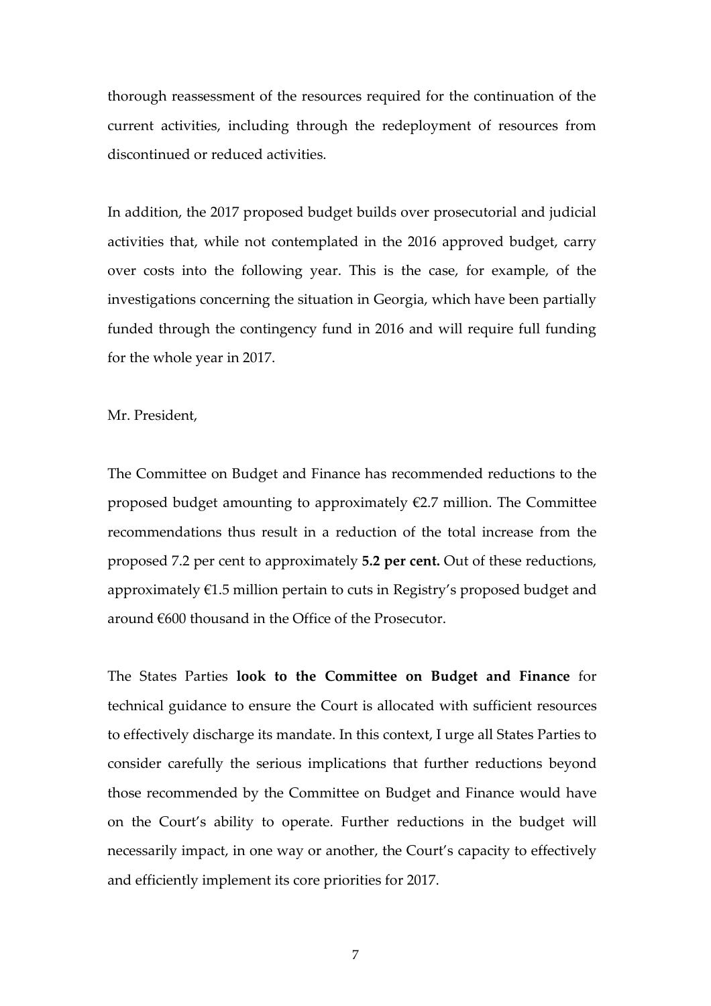thorough reassessment of the resources required for the continuation of the current activities, including through the redeployment of resources from discontinued or reduced activities.

In addition, the 2017 proposed budget builds over prosecutorial and judicial activities that, while not contemplated in the 2016 approved budget, carry over costs into the following year. This is the case, for example, of the investigations concerning the situation in Georgia, which have been partially funded through the contingency fund in 2016 and will require full funding for the whole year in 2017.

Mr. President,

The Committee on Budget and Finance has recommended reductions to the proposed budget amounting to approximately  $E$ 2.7 million. The Committee recommendations thus result in a reduction of the total increase from the proposed 7.2 per cent to approximately **5.2 per cent.** Out of these reductions, approximately €1.5 million pertain to cuts in Registry's proposed budget and around €600 thousand in the Office of the Prosecutor.

The States Parties **look to the Committee on Budget and Finance** for technical guidance to ensure the Court is allocated with sufficient resources to effectively discharge its mandate. In this context, I urge all States Parties to consider carefully the serious implications that further reductions beyond those recommended by the Committee on Budget and Finance would have on the Court's ability to operate. Further reductions in the budget will necessarily impact, in one way or another, the Court's capacity to effectively and efficiently implement its core priorities for 2017.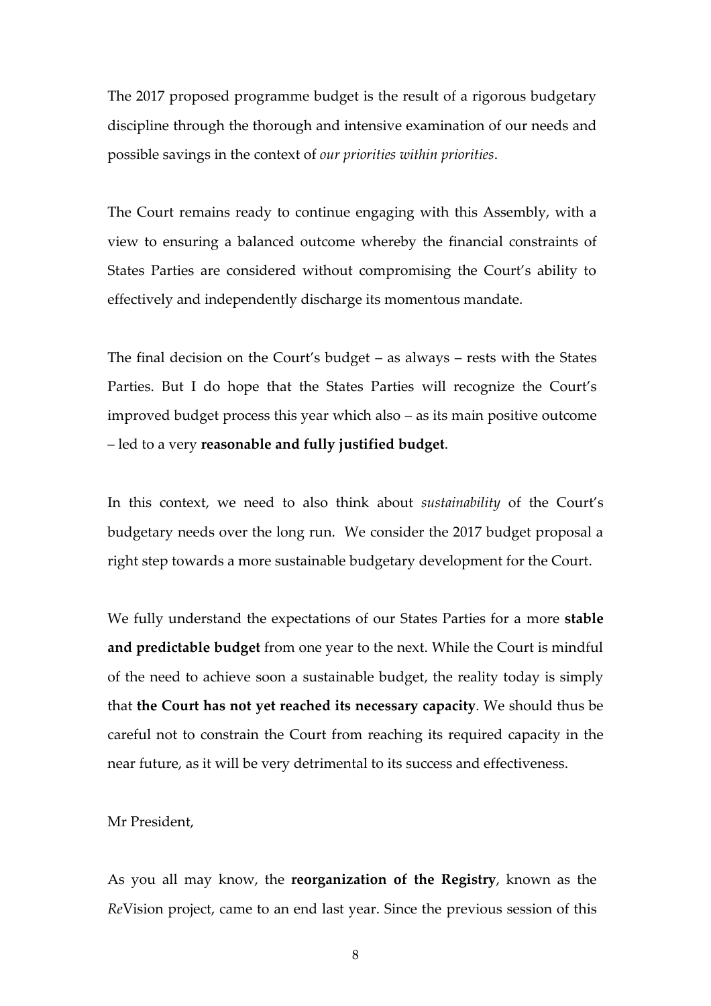The 2017 proposed programme budget is the result of a rigorous budgetary discipline through the thorough and intensive examination of our needs and possible savings in the context of *our priorities within priorities*.

The Court remains ready to continue engaging with this Assembly, with a view to ensuring a balanced outcome whereby the financial constraints of States Parties are considered without compromising the Court's ability to effectively and independently discharge its momentous mandate.

The final decision on the Court's budget – as always – rests with the States Parties. But I do hope that the States Parties will recognize the Court's improved budget process this year which also – as its main positive outcome – led to a very **reasonable and fully justified budget**.

In this context, we need to also think about *sustainability* of the Court's budgetary needs over the long run. We consider the 2017 budget proposal a right step towards a more sustainable budgetary development for the Court.

We fully understand the expectations of our States Parties for a more **stable and predictable budget** from one year to the next. While the Court is mindful of the need to achieve soon a sustainable budget, the reality today is simply that **the Court has not yet reached its necessary capacity**. We should thus be careful not to constrain the Court from reaching its required capacity in the near future, as it will be very detrimental to its success and effectiveness.

Mr President,

As you all may know, the **reorganization of the Registry**, known as the *Re*Vision project, came to an end last year. Since the previous session of this

8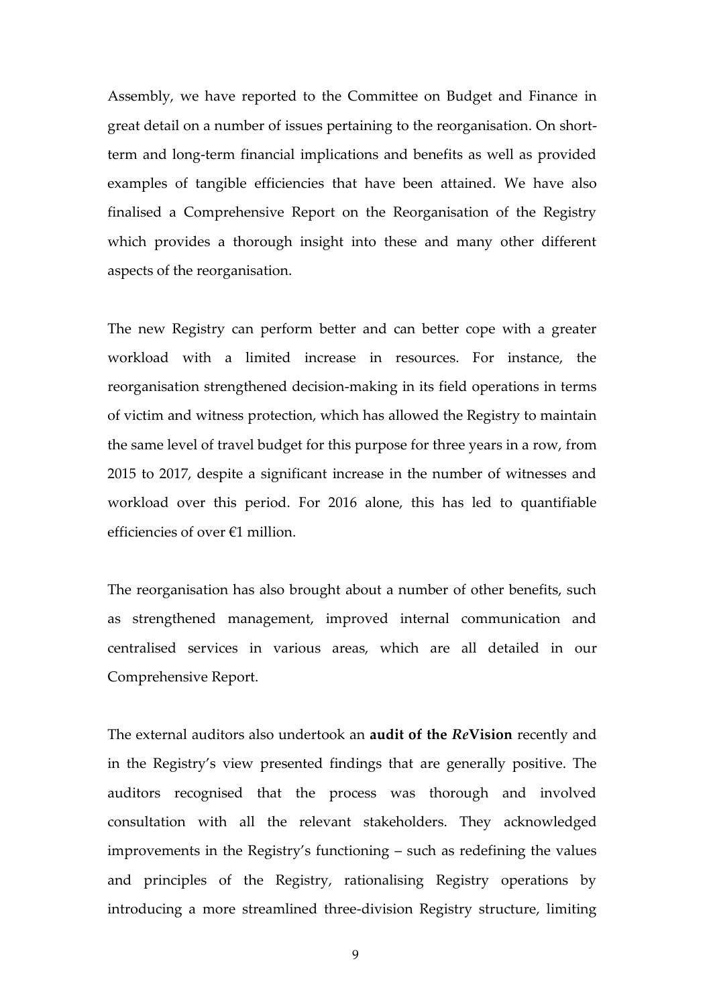Assembly, we have reported to the Committee on Budget and Finance in great detail on a number of issues pertaining to the reorganisation. On shortterm and long-term financial implications and benefits as well as provided examples of tangible efficiencies that have been attained. We have also finalised a Comprehensive Report on the Reorganisation of the Registry which provides a thorough insight into these and many other different aspects of the reorganisation.

The new Registry can perform better and can better cope with a greater workload with a limited increase in resources. For instance, the reorganisation strengthened decision-making in its field operations in terms of victim and witness protection, which has allowed the Registry to maintain the same level of travel budget for this purpose for three years in a row, from 2015 to 2017, despite a significant increase in the number of witnesses and workload over this period. For 2016 alone, this has led to quantifiable efficiencies of over €1 million.

The reorganisation has also brought about a number of other benefits, such as strengthened management, improved internal communication and centralised services in various areas, which are all detailed in our Comprehensive Report.

The external auditors also undertook an **audit of the** *Re***Vision** recently and in the Registry's view presented findings that are generally positive. The auditors recognised that the process was thorough and involved consultation with all the relevant stakeholders. They acknowledged improvements in the Registry's functioning – such as redefining the values and principles of the Registry, rationalising Registry operations by introducing a more streamlined three-division Registry structure, limiting

9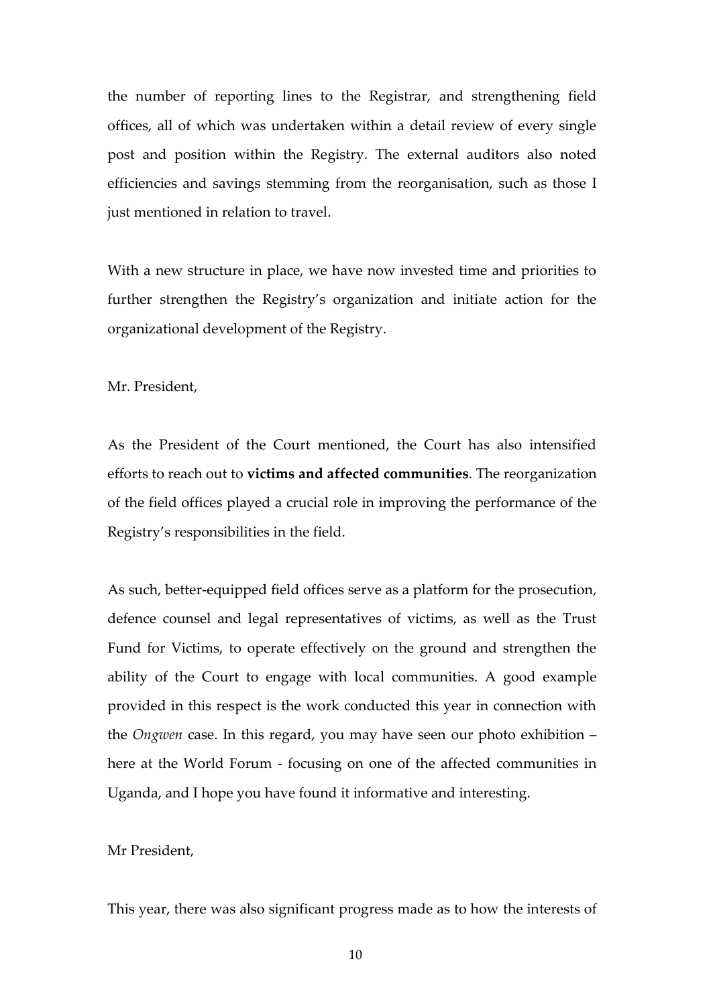the number of reporting lines to the Registrar, and strengthening field offices, all of which was undertaken within a detail review of every single post and position within the Registry. The external auditors also noted efficiencies and savings stemming from the reorganisation, such as those I just mentioned in relation to travel.

With a new structure in place, we have now invested time and priorities to further strengthen the Registry's organization and initiate action for the organizational development of the Registry.

### Mr. President,

As the President of the Court mentioned, the Court has also intensified efforts to reach out to **victims and affected communities**. The reorganization of the field offices played a crucial role in improving the performance of the Registry's responsibilities in the field.

As such, better-equipped field offices serve as a platform for the prosecution, defence counsel and legal representatives of victims, as well as the Trust Fund for Victims, to operate effectively on the ground and strengthen the ability of the Court to engage with local communities. A good example provided in this respect is the work conducted this year in connection with the *Ongwen* case. In this regard, you may have seen our photo exhibition – here at the World Forum - focusing on one of the affected communities in Uganda, and I hope you have found it informative and interesting.

#### Mr President,

This year, there was also significant progress made as to how the interests of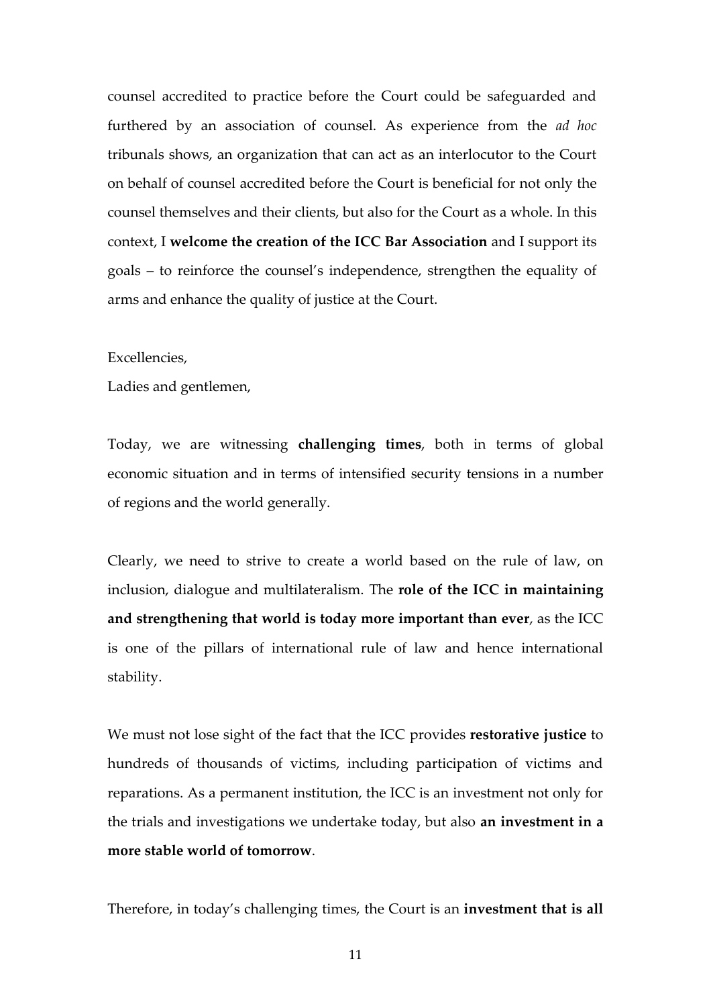counsel accredited to practice before the Court could be safeguarded and furthered by an association of counsel. As experience from the *ad hoc* tribunals shows, an organization that can act as an interlocutor to the Court on behalf of counsel accredited before the Court is beneficial for not only the counsel themselves and their clients, but also for the Court as a whole. In this context, I **welcome the creation of the ICC Bar Association** and I support its goals – to reinforce the counsel's independence, strengthen the equality of arms and enhance the quality of justice at the Court.

#### Excellencies,

Ladies and gentlemen,

Today, we are witnessing **challenging times**, both in terms of global economic situation and in terms of intensified security tensions in a number of regions and the world generally.

Clearly, we need to strive to create a world based on the rule of law, on inclusion, dialogue and multilateralism. The **role of the ICC in maintaining and strengthening that world is today more important than ever**, as the ICC is one of the pillars of international rule of law and hence international stability.

We must not lose sight of the fact that the ICC provides **restorative justice** to hundreds of thousands of victims, including participation of victims and reparations. As a permanent institution, the ICC is an investment not only for the trials and investigations we undertake today, but also **an investment in a more stable world of tomorrow**.

Therefore, in today's challenging times, the Court is an **investment that is all**